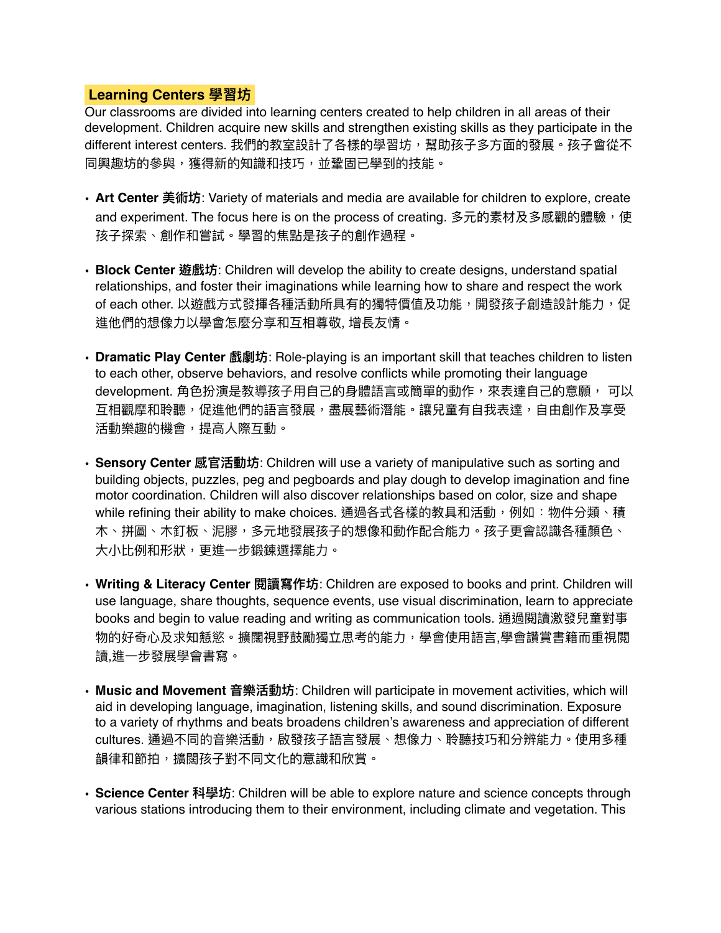## Learning Centers 學習坊

Our classrooms are divided into learning centers created to help children in all areas of their development. Children acquire new skills and strengthen existing skills as they participate in the different interest centers. 我們的教室設計了各樣的學習坊,幫助孩子多方面的發展。孩子會從不 同興趣坊的參與,獲得新的知識和技巧,並鞏固已學到的技能。

- Art Center 美術坊: Variety of materials and media are available for children to explore, create and experiment. The focus here is on the process of creating. 多元的素材及多感觀的體驗,使 孩子探索、創作和嘗試。學習的焦點是孩子的創作過程。
- **Block Center 遊戲坊**: Children will develop the ability to create designs, understand spatial relationships, and foster their imaginations while learning how to share and respect the work of each other. 以遊戲方式發揮各種活動所具有的獨特價值及功能,開發孩子創造設計能力,促 進他們的想像力以學會怎麼分享和互相尊敬, 增長友情。
- **Dramatic Play Center 瞁玀࣑**: Role-playing is an important skill that teaches children to listen to each other, observe behaviors, and resolve conflicts while promoting their language development. 角色扮演是教導孩子用自己的身體語言或簡單的動作,來表達自己的意願, 可以 互相觀摩和聆聽,促進他們的語言發展,盡展藝術潛能。讓兒童有自我表達,自由創作及享受 活動樂趣的機會,提高人際互動。
- Sensory Center 感官活動坊: Children will use a variety of manipulative such as sorting and building objects, puzzles, peg and pegboards and play dough to develop imagination and fine motor coordination. Children will also discover relationships based on color, size and shape while refining their ability to make choices. 通過各式各樣的教具和活動, 例如: 物件分類、積 木、拼圖、木釘板、泥膠,多元地發展孩子的想像和動作配合能力。孩子更會認識各種顏色、 大小比例和形狀,更進一步鍛鍊選擇能力。
- Writing & Literacy Center 閱讀寫作坊: Children are exposed to books and print. Children will use language, share thoughts, sequence events, use visual discrimination, learn to appreciate books and begin to value reading and writing as communication tools. 通過閱讀激發兒童對事 物的好奇心及求知懖慾。擴闊視野鼓勵獨立思考的能力,學會使用語言,學會讚賞書籍而重視閲 讀,進一步發展學會書寫。
- Music and Movement 音樂活動坊: Children will participate in movement activities, which will aid in developing language, imagination, listening skills, and sound discrimination. Exposure to a variety of rhythms and beats broadens children's awareness and appreciation of different cultures. 通過不同的音樂活動,啟發孩子語言發展、想像力、聆聽技巧和分辨能力。使用多種 韻律和節拍,擴闊孩子對不同文化的意識和欣賞。
- Science Center 科學坊: Children will be able to explore nature and science concepts through various stations introducing them to their environment, including climate and vegetation. This